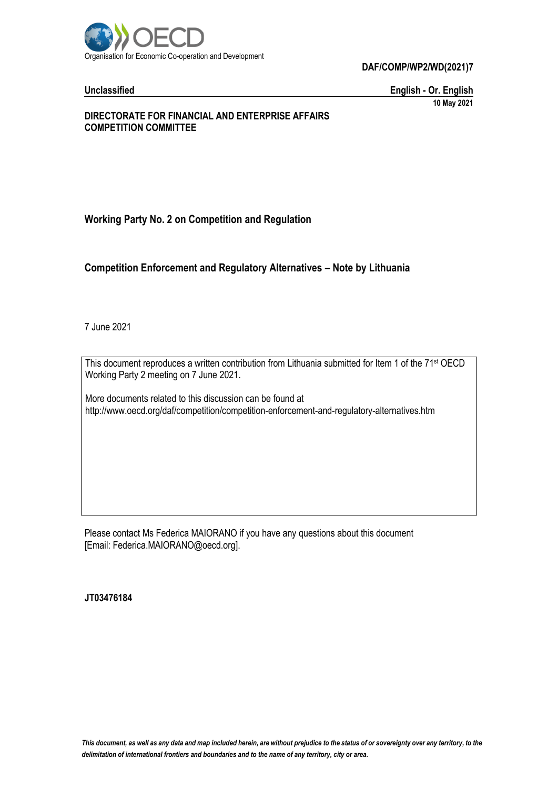

**DAF/COMP/WP2/WD(2021)7**

**Unclassified English - Or. English 10 May 2021**

## **DIRECTORATE FOR FINANCIAL AND ENTERPRISE AFFAIRS COMPETITION COMMITTEE**

# **Working Party No. 2 on Competition and Regulation**

## **Competition Enforcement and Regulatory Alternatives – Note by Lithuania**

7 June 2021

This document reproduces a written contribution from Lithuania submitted for Item 1 of the 71<sup>st</sup> OECD Working Party 2 meeting on 7 June 2021.

More documents related to this discussion can be found at http://www.oecd.org/daf/competition/competition-enforcement-and-regulatory-alternatives.htm

Please contact Ms Federica MAIORANO if you have any questions about this document [Email: Federica.MAIORANO@oecd.org].

**JT03476184**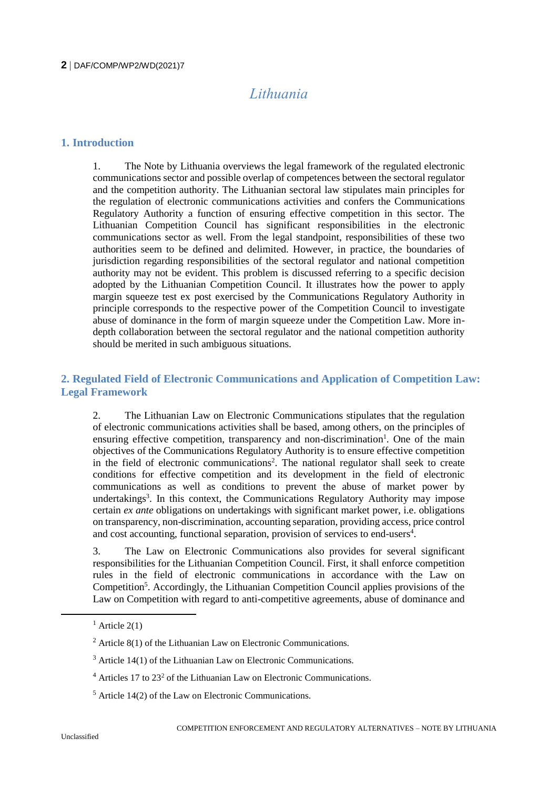## **2** DAF/COMP/WP2/WD(2021)7

# *Lithuania*

## **1. Introduction**

1. The Note by Lithuania overviews the legal framework of the regulated electronic communications sector and possible overlap of competences between the sectoral regulator and the competition authority. The Lithuanian sectoral law stipulates main principles for the regulation of electronic communications activities and confers the Communications Regulatory Authority a function of ensuring effective competition in this sector. The Lithuanian Competition Council has significant responsibilities in the electronic communications sector as well. From the legal standpoint, responsibilities of these two authorities seem to be defined and delimited. However, in practice, the boundaries of jurisdiction regarding responsibilities of the sectoral regulator and national competition authority may not be evident. This problem is discussed referring to a specific decision adopted by the Lithuanian Competition Council. It illustrates how the power to apply margin squeeze test ex post exercised by the Communications Regulatory Authority in principle corresponds to the respective power of the Competition Council to investigate abuse of dominance in the form of margin squeeze under the Competition Law. More indepth collaboration between the sectoral regulator and the national competition authority should be merited in such ambiguous situations.

## **2. Regulated Field of Electronic Communications and Application of Competition Law: Legal Framework**

2. The Lithuanian Law on Electronic Communications stipulates that the regulation of electronic communications activities shall be based, among others, on the principles of ensuring effective competition, transparency and non-discrimination<sup>1</sup>. One of the main objectives of the Communications Regulatory Authority is to ensure effective competition in the field of electronic communications<sup>2</sup>. The national regulator shall seek to create conditions for effective competition and its development in the field of electronic communications as well as conditions to prevent the abuse of market power by undertakings<sup>3</sup>. In this context, the Communications Regulatory Authority may impose certain *ex ante* obligations on undertakings with significant market power, i.e. obligations on transparency, non-discrimination, accounting separation, providing access, price control and cost accounting, functional separation, provision of services to end-users<sup>4</sup>.

3. The Law on Electronic Communications also provides for several significant responsibilities for the Lithuanian Competition Council. First, it shall enforce competition rules in the field of electronic communications in accordance with the Law on Competition<sup>5</sup>. Accordingly, the Lithuanian Competition Council applies provisions of the Law on Competition with regard to anti-competitive agreements, abuse of dominance and

 $1$  Article 2(1)

 $2$  Article 8(1) of the Lithuanian Law on Electronic Communications.

 $3$  Article 14(1) of the Lithuanian Law on Electronic Communications.

 $4$  Articles 17 to 23<sup>2</sup> of the Lithuanian Law on Electronic Communications.

 $<sup>5</sup>$  Article 14(2) of the Law on Electronic Communications.</sup>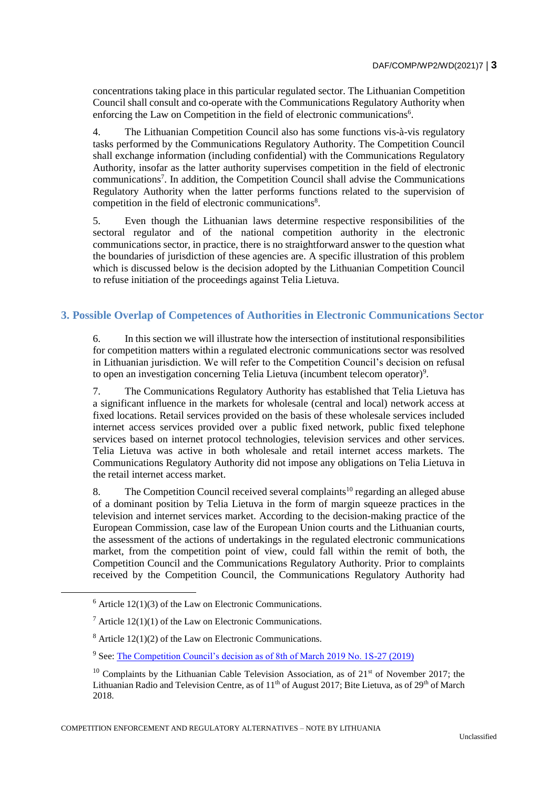concentrations taking place in this particular regulated sector. The Lithuanian Competition Council shall consult and co-operate with the Communications Regulatory Authority when enforcing the Law on Competition in the field of electronic communications<sup>6</sup>.

4. The Lithuanian Competition Council also has some functions vis-à-vis regulatory tasks performed by the Communications Regulatory Authority. The Competition Council shall exchange information (including confidential) with the Communications Regulatory Authority, insofar as the latter authority supervises competition in the field of electronic communications<sup>7</sup>. In addition, the Competition Council shall advise the Communications Regulatory Authority when the latter performs functions related to the supervision of competition in the field of electronic communications<sup>8</sup>.

5. Even though the Lithuanian laws determine respective responsibilities of the sectoral regulator and of the national competition authority in the electronic communications sector, in practice, there is no straightforward answer to the question what the boundaries of jurisdiction of these agencies are. A specific illustration of this problem which is discussed below is the decision adopted by the Lithuanian Competition Council to refuse initiation of the proceedings against Telia Lietuva.

# **3. Possible Overlap of Competences of Authorities in Electronic Communications Sector**

6. In this section we will illustrate how the intersection of institutional responsibilities for competition matters within a regulated electronic communications sector was resolved in Lithuanian jurisdiction. We will refer to the Competition Council's decision on refusal to open an investigation concerning Telia Lietuva (incumbent telecom operator)<sup>9</sup>.

7. The Communications Regulatory Authority has established that Telia Lietuva has a significant influence in the markets for wholesale (central and local) network access at fixed locations. Retail services provided on the basis of these wholesale services included internet access services provided over a public fixed network, public fixed telephone services based on internet protocol technologies, television services and other services. Telia Lietuva was active in both wholesale and retail internet access markets. The Communications Regulatory Authority did not impose any obligations on Telia Lietuva in the retail internet access market.

8. The Competition Council received several complaints<sup>10</sup> regarding an alleged abuse of a dominant position by Telia Lietuva in the form of margin squeeze practices in the television and internet services market. According to the decision-making practice of the European Commission, case law of the European Union courts and the Lithuanian courts, the assessment of the actions of undertakings in the regulated electronic communications market, from the competition point of view, could fall within the remit of both, the Competition Council and the Communications Regulatory Authority. Prior to complaints received by the Competition Council, the Communications Regulatory Authority had

 $\overline{a}$ 

 $6$  Article 12(1)(3) of the Law on Electronic Communications.

 $^7$  Article 12(1)(1) of the Law on Electronic Communications.

 $8$  Article 12(1)(2) of the Law on Electronic Communications.

<sup>9</sup> See: [The Competition Council's decision as of 8th of March 2019 No. 1S-27 \(2019\)](https://kt.gov.lt/uploads/docs/docs/3818_cfb91d489203d9da521b6e8e7541870b.pdf)

<sup>&</sup>lt;sup>10</sup> Complaints by the Lithuanian Cable Television Association, as of  $21<sup>st</sup>$  of November 2017; the Lithuanian Radio and Television Centre, as of 11<sup>th</sup> of August 2017; Bite Lietuva, as of 29<sup>th</sup> of March 2018.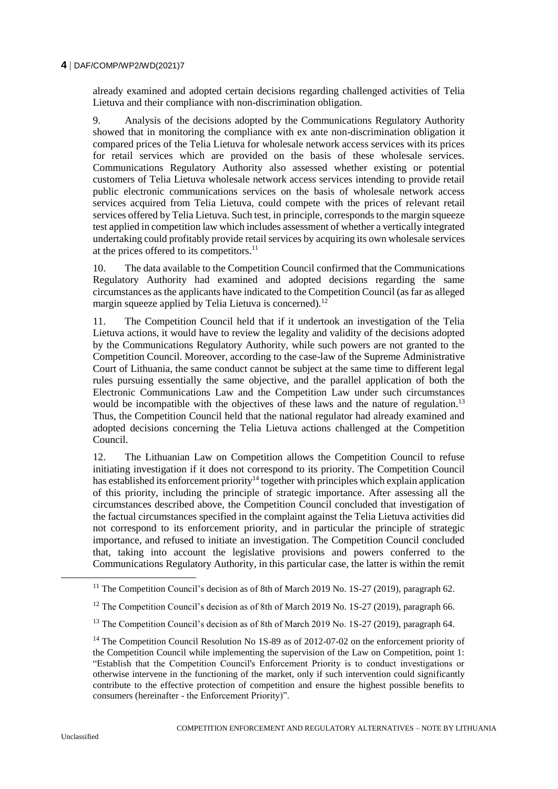## **4** DAF/COMP/WP2/WD(2021)7

already examined and adopted certain decisions regarding challenged activities of Telia Lietuva and their compliance with non-discrimination obligation.

9. Analysis of the decisions adopted by the Communications Regulatory Authority showed that in monitoring the compliance with ex ante non-discrimination obligation it compared prices of the Telia Lietuva for wholesale network access services with its prices for retail services which are provided on the basis of these wholesale services. Communications Regulatory Authority also assessed whether existing or potential customers of Telia Lietuva wholesale network access services intending to provide retail public electronic communications services on the basis of wholesale network access services acquired from Telia Lietuva, could compete with the prices of relevant retail services offered by Telia Lietuva. Such test, in principle, corresponds to the margin squeeze test applied in competition law which includes assessment of whether a vertically integrated undertaking could profitably provide retail services by acquiring its own wholesale services at the prices offered to its competitors.<sup>11</sup>

10. The data available to the Competition Council confirmed that the Communications Regulatory Authority had examined and adopted decisions regarding the same circumstances as the applicants have indicated to the Competition Council (as far as alleged margin squeeze applied by Telia Lietuva is concerned).<sup>12</sup>

11. The Competition Council held that if it undertook an investigation of the Telia Lietuva actions, it would have to review the legality and validity of the decisions adopted by the Communications Regulatory Authority, while such powers are not granted to the Competition Council. Moreover, according to the case-law of the Supreme Administrative Court of Lithuania, the same conduct cannot be subject at the same time to different legal rules pursuing essentially the same objective, and the parallel application of both the Electronic Communications Law and the Competition Law under such circumstances would be incompatible with the objectives of these laws and the nature of regulation.<sup>13</sup> Thus, the Competition Council held that the national regulator had already examined and adopted decisions concerning the Telia Lietuva actions challenged at the Competition Council.

12. The Lithuanian Law on Competition allows the Competition Council to refuse initiating investigation if it does not correspond to its priority. The Competition Council has established its enforcement priority<sup>14</sup> together with principles which explain application of this priority, including the principle of strategic importance. After assessing all the circumstances described above, the Competition Council concluded that investigation of the factual circumstances specified in the complaint against the Telia Lietuva activities did not correspond to its enforcement priority, and in particular the principle of strategic importance, and refused to initiate an investigation. The Competition Council concluded that, taking into account the legislative provisions and powers conferred to the Communications Regulatory Authority, in this particular case, the latter is within the remit

<sup>&</sup>lt;sup>11</sup> The Competition Council's decision as of 8th of March 2019 No.  $1S-27$  (2019), paragraph 62.

<sup>&</sup>lt;sup>12</sup> The Competition Council's decision as of 8th of March 2019 No. 1S-27 (2019), paragraph 66.

<sup>&</sup>lt;sup>13</sup> The Competition Council's decision as of 8th of March 2019 No. 1S-27 (2019), paragraph 64.

<sup>&</sup>lt;sup>14</sup> The Competition Council Resolution No 1S-89 as of 2012-07-02 on the enforcement priority of the Competition Council while implementing the supervision of the Law on Competition, point 1: "Establish that the Competition Council's Enforcement Priority is to conduct investigations or otherwise intervene in the functioning of the market, only if such intervention could significantly contribute to the effective protection of competition and ensure the highest possible benefits to consumers (hereinafter - the Enforcement Priority)".